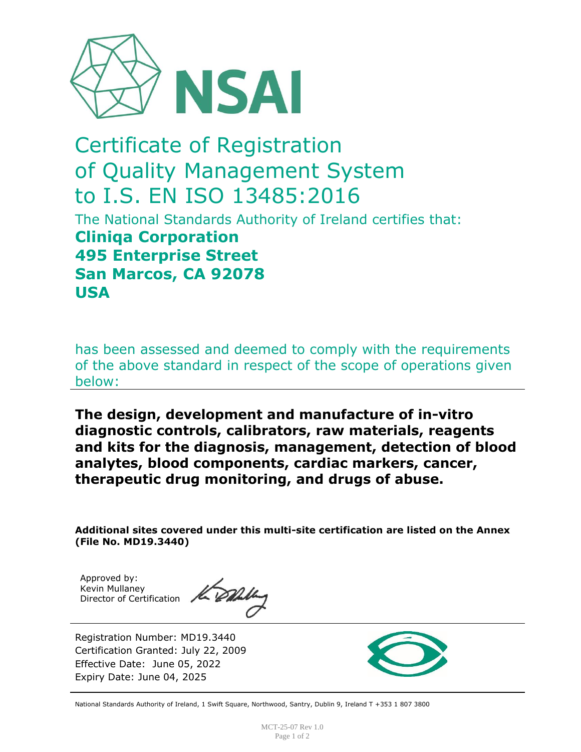

## Certificate of Registration of Quality Management System to I.S. EN ISO 13485:2016

The National Standards Authority of Ireland certifies that: **Cliniqa Corporation 495 Enterprise Street San Marcos, CA 92078 USA**

has been assessed and deemed to comply with the requirements of the above standard in respect of the scope of operations given below:

**The design, development and manufacture of in-vitro diagnostic controls, calibrators, raw materials, reagents and kits for the diagnosis, management, detection of blood analytes, blood components, cardiac markers, cancer, therapeutic drug monitoring, and drugs of abuse.**

**Additional sites covered under this multi-site certification are listed on the Annex (File No. MD19.3440)**

Approved by: Kevin Mullaney Director of Certification

Kank

Registration Number: MD19.3440 Certification Granted: July 22, 2009 Effective Date: June 05, 2022 Expiry Date: June 04, 2025



National Standards Authority of Ireland, 1 Swift Square, Northwood, Santry, Dublin 9, Ireland T +353 1 807 3800